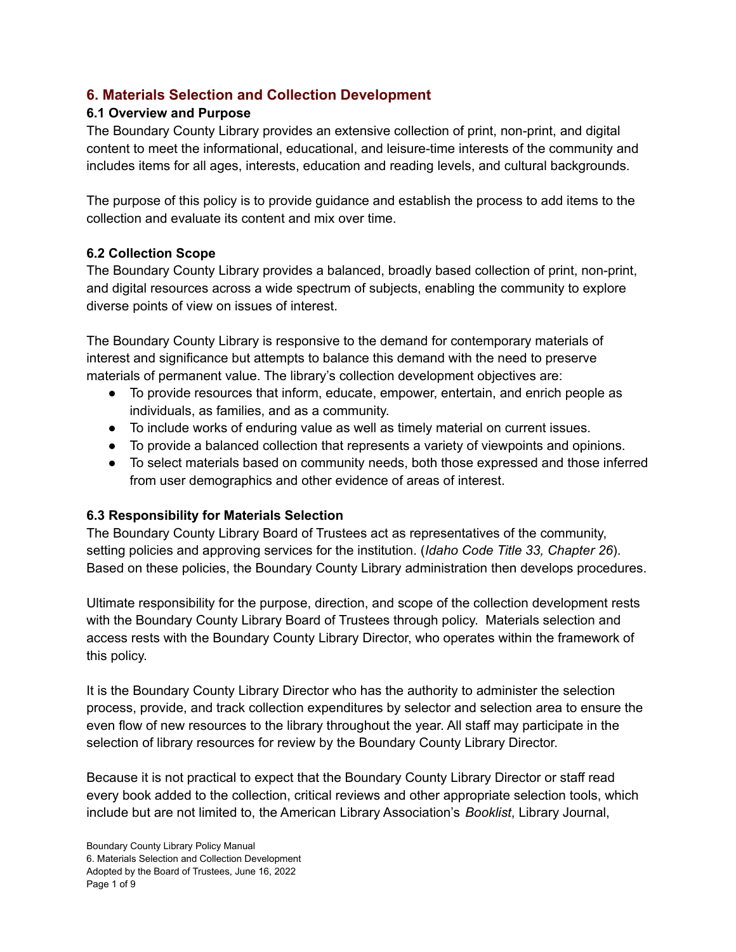# **6. Materials Selection and Collection Development**

### **6.1 Overview and Purpose**

The Boundary County Library provides an extensive collection of print, non-print, and digital content to meet the informational, educational, and leisure-time interests of the community and includes items for all ages, interests, education and reading levels, and cultural backgrounds.

The purpose of this policy is to provide guidance and establish the process to add items to the collection and evaluate its content and mix over time.

### **6.2 Collection Scope**

The Boundary County Library provides a balanced, broadly based collection of print, non-print, and digital resources across a wide spectrum of subjects, enabling the community to explore diverse points of view on issues of interest.

The Boundary County Library is responsive to the demand for contemporary materials of interest and significance but attempts to balance this demand with the need to preserve materials of permanent value. The library's collection development objectives are:

- To provide resources that inform, educate, empower, entertain, and enrich people as individuals, as families, and as a community.
- To include works of enduring value as well as timely material on current issues.
- To provide a balanced collection that represents a variety of viewpoints and opinions.
- To select materials based on community needs, both those expressed and those inferred from user demographics and other evidence of areas of interest.

### **6.3 Responsibility for Materials Selection**

The Boundary County Library Board of Trustees act as representatives of the community, setting policies and approving services for the institution. (*Idaho Code Title 33, Chapter 26*). Based on these policies, the Boundary County Library administration then develops procedures.

Ultimate responsibility for the purpose, direction, and scope of the collection development rests with the Boundary County Library Board of Trustees through policy. Materials selection and access rests with the Boundary County Library Director, who operates within the framework of this policy.

It is the Boundary County Library Director who has the authority to administer the selection process, provide, and track collection expenditures by selector and selection area to ensure the even flow of new resources to the library throughout the year. All staff may participate in the selection of library resources for review by the Boundary County Library Director.

Because it is not practical to expect that the Boundary County Library Director or staff read every book added to the collection, critical reviews and other appropriate selection tools, which include but are not limited to, the American Library Association's *Booklist*, Library Journal,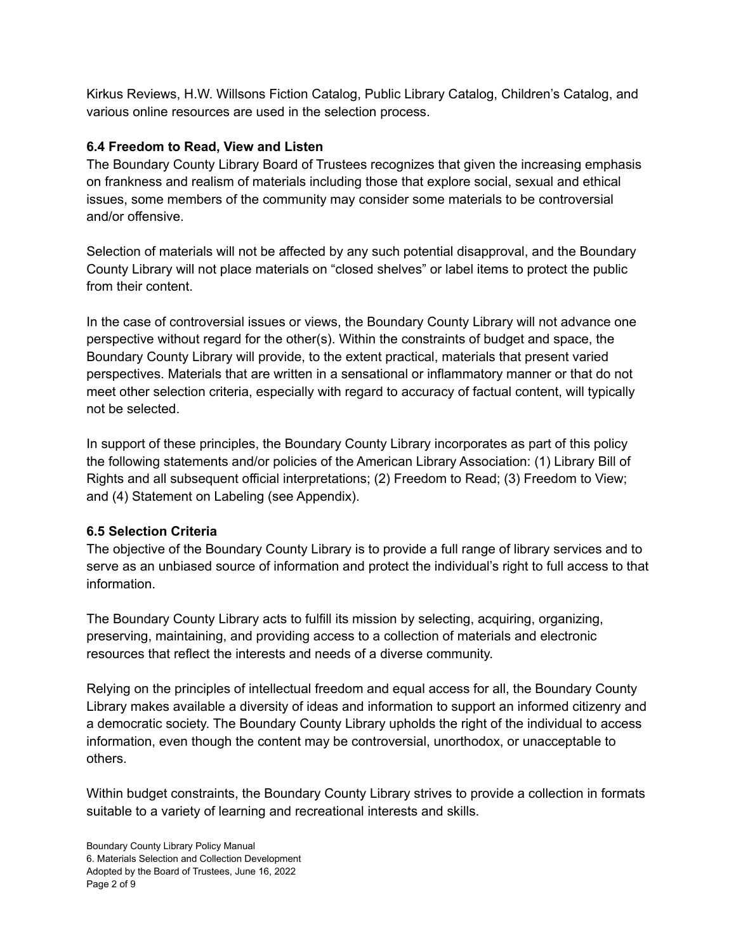Kirkus Reviews, H.W. Willsons Fiction Catalog, Public Library Catalog, Children's Catalog, and various online resources are used in the selection process.

## **6.4 Freedom to Read, View and Listen**

The Boundary County Library Board of Trustees recognizes that given the increasing emphasis on frankness and realism of materials including those that explore social, sexual and ethical issues, some members of the community may consider some materials to be controversial and/or offensive.

Selection of materials will not be affected by any such potential disapproval, and the Boundary County Library will not place materials on "closed shelves" or label items to protect the public from their content.

In the case of controversial issues or views, the Boundary County Library will not advance one perspective without regard for the other(s). Within the constraints of budget and space, the Boundary County Library will provide, to the extent practical, materials that present varied perspectives. Materials that are written in a sensational or inflammatory manner or that do not meet other selection criteria, especially with regard to accuracy of factual content, will typically not be selected.

In support of these principles, the Boundary County Library incorporates as part of this policy the following statements and/or policies of the American Library Association: (1) Library Bill of Rights and all subsequent official interpretations; (2) Freedom to Read; (3) Freedom to View; and (4) Statement on Labeling (see Appendix).

## **6.5 Selection Criteria**

The objective of the Boundary County Library is to provide a full range of library services and to serve as an unbiased source of information and protect the individual's right to full access to that information.

The Boundary County Library acts to fulfill its mission by selecting, acquiring, organizing, preserving, maintaining, and providing access to a collection of materials and electronic resources that reflect the interests and needs of a diverse community.

Relying on the principles of intellectual freedom and equal access for all, the Boundary County Library makes available a diversity of ideas and information to support an informed citizenry and a democratic society. The Boundary County Library upholds the right of the individual to access information, even though the content may be controversial, unorthodox, or unacceptable to others.

Within budget constraints, the Boundary County Library strives to provide a collection in formats suitable to a variety of learning and recreational interests and skills.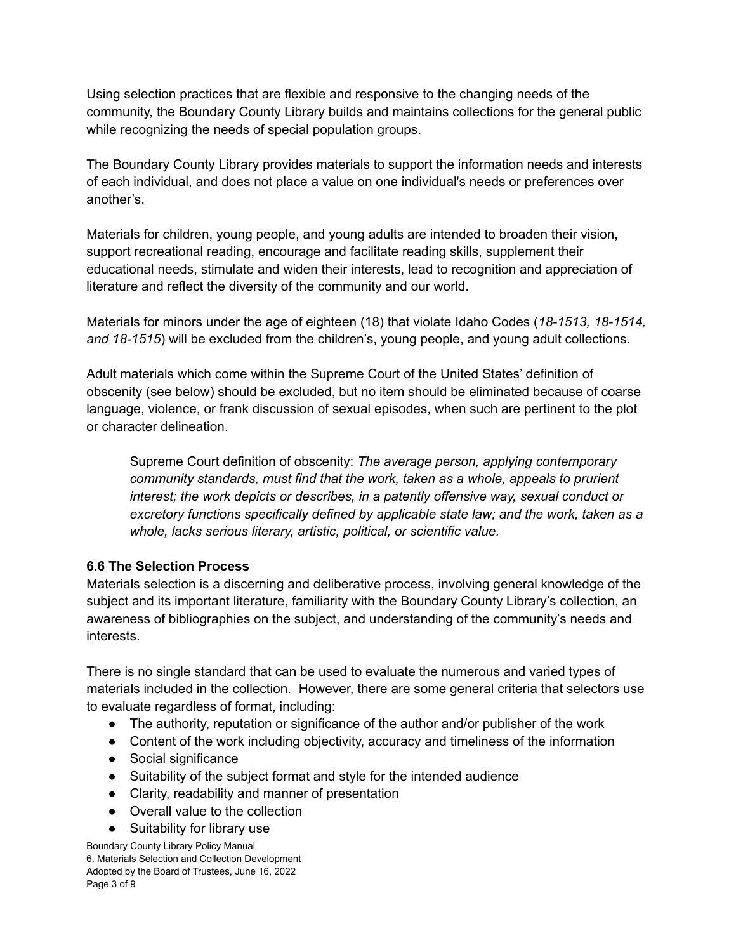Using selection practices that are flexible and responsive to the changing needs of the community, the Boundary County Library builds and maintains collections for the general public while recognizing the needs of special population groups.

The Boundary County Library provides materials to support the information needs and interests of each individual, and does not place a value on one individual's needs or preferences over another's.

Materials for children, young people, and young adults are intended to broaden their vision, support recreational reading, encourage and facilitate reading skills, supplement their educational needs, stimulate and widen their interests, lead to recognition and appreciation of literature and reflect the diversity of the community and our world.

Materials for minors under the age of eighteen (18) that violate Idaho Codes (*18-1513, 18-1514, and 18-1515*) will be excluded from the children's, young people, and young adult collections.

Adult materials which come within the Supreme Court of the United States' definition of obscenity (see below) should be excluded, but no item should be eliminated because of coarse language, violence, or frank discussion of sexual episodes, when such are pertinent to the plot or character delineation.

Supreme Court definition of obscenity: *The average person, applying contemporary community standards, must find that the work, taken as a whole, appeals to prurient interest; the work depicts or describes, in a patently offensive way, sexual conduct or excretory functions specifically defined by applicable state law; and the work, taken as a whole, lacks serious literary, artistic, political, or scientific value.*

## **6.6 The Selection Process**

Materials selection is a discerning and deliberative process, involving general knowledge of the subject and its important literature, familiarity with the Boundary County Library's collection, an awareness of bibliographies on the subject, and understanding of the community's needs and interests.

There is no single standard that can be used to evaluate the numerous and varied types of materials included in the collection. However, there are some general criteria that selectors use to evaluate regardless of format, including:

- The authority, reputation or significance of the author and/or publisher of the work
- Content of the work including objectivity, accuracy and timeliness of the information
- Social significance
- Suitability of the subject format and style for the intended audience
- Clarity, readability and manner of presentation
- Overall value to the collection
- Suitability for library use

Boundary County Library Policy Manual 6. Materials Selection and Collection Development Adopted by the Board of Trustees, June 16, 2022 Page 3 of 9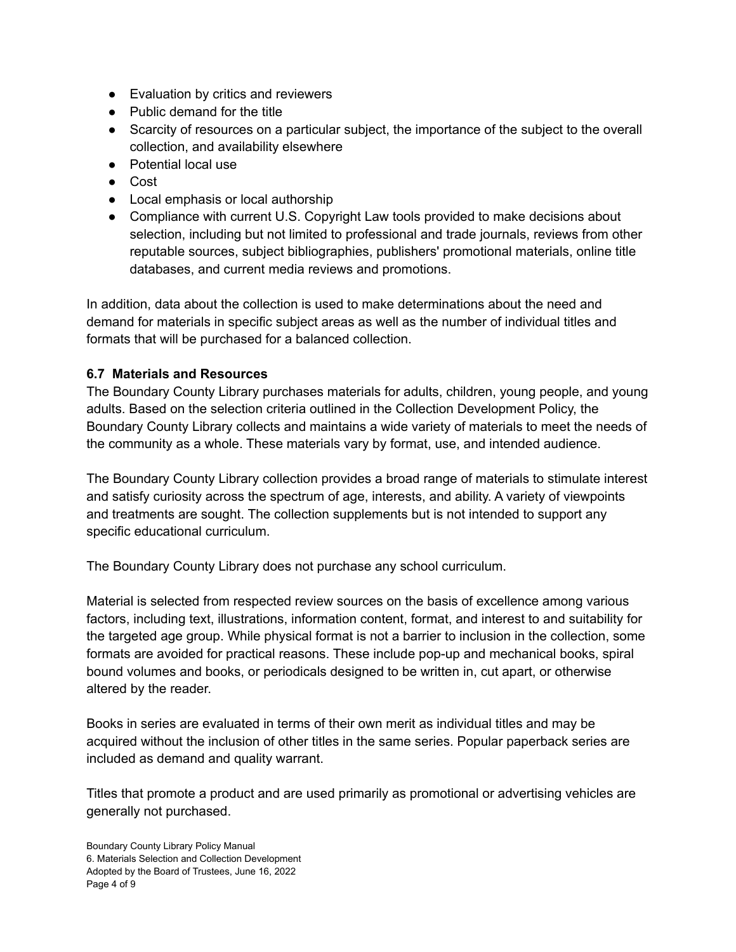- Evaluation by critics and reviewers
- Public demand for the title
- Scarcity of resources on a particular subject, the importance of the subject to the overall collection, and availability elsewhere
- Potential local use
- Cost
- Local emphasis or local authorship
- Compliance with current U.S. Copyright Law tools provided to make decisions about selection, including but not limited to professional and trade journals, reviews from other reputable sources, subject bibliographies, publishers' promotional materials, online title databases, and current media reviews and promotions.

In addition, data about the collection is used to make determinations about the need and demand for materials in specific subject areas as well as the number of individual titles and formats that will be purchased for a balanced collection.

### **6.7 Materials and Resources**

The Boundary County Library purchases materials for adults, children, young people, and young adults. Based on the selection criteria outlined in the Collection Development Policy, the Boundary County Library collects and maintains a wide variety of materials to meet the needs of the community as a whole. These materials vary by format, use, and intended audience.

The Boundary County Library collection provides a broad range of materials to stimulate interest and satisfy curiosity across the spectrum of age, interests, and ability. A variety of viewpoints and treatments are sought. The collection supplements but is not intended to support any specific educational curriculum.

The Boundary County Library does not purchase any school curriculum.

Material is selected from respected review sources on the basis of excellence among various factors, including text, illustrations, information content, format, and interest to and suitability for the targeted age group. While physical format is not a barrier to inclusion in the collection, some formats are avoided for practical reasons. These include pop-up and mechanical books, spiral bound volumes and books, or periodicals designed to be written in, cut apart, or otherwise altered by the reader.

Books in series are evaluated in terms of their own merit as individual titles and may be acquired without the inclusion of other titles in the same series. Popular paperback series are included as demand and quality warrant.

Titles that promote a product and are used primarily as promotional or advertising vehicles are generally not purchased.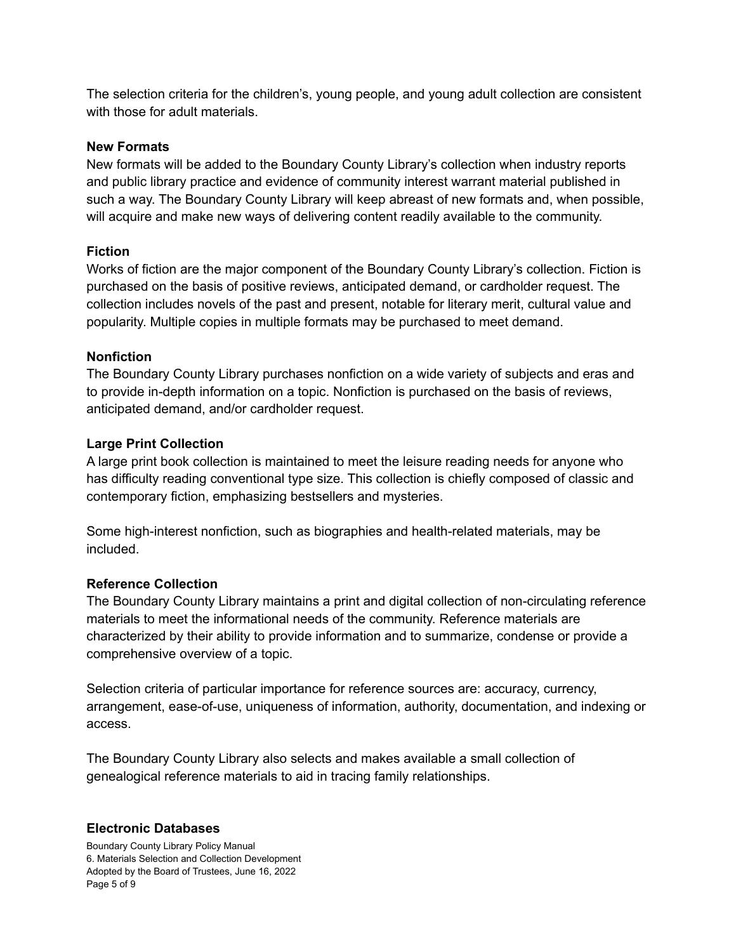The selection criteria for the children's, young people, and young adult collection are consistent with those for adult materials.

#### **New Formats**

New formats will be added to the Boundary County Library's collection when industry reports and public library practice and evidence of community interest warrant material published in such a way. The Boundary County Library will keep abreast of new formats and, when possible, will acquire and make new ways of delivering content readily available to the community.

### **Fiction**

Works of fiction are the major component of the Boundary County Library's collection. Fiction is purchased on the basis of positive reviews, anticipated demand, or cardholder request. The collection includes novels of the past and present, notable for literary merit, cultural value and popularity. Multiple copies in multiple formats may be purchased to meet demand.

### **Nonfiction**

The Boundary County Library purchases nonfiction on a wide variety of subjects and eras and to provide in-depth information on a topic. Nonfiction is purchased on the basis of reviews, anticipated demand, and/or cardholder request.

#### **Large Print Collection**

A large print book collection is maintained to meet the leisure reading needs for anyone who has difficulty reading conventional type size. This collection is chiefly composed of classic and contemporary fiction, emphasizing bestsellers and mysteries.

Some high-interest nonfiction, such as biographies and health-related materials, may be included.

### **Reference Collection**

The Boundary County Library maintains a print and digital collection of non-circulating reference materials to meet the informational needs of the community. Reference materials are characterized by their ability to provide information and to summarize, condense or provide a comprehensive overview of a topic.

Selection criteria of particular importance for reference sources are: accuracy, currency, arrangement, ease-of-use, uniqueness of information, authority, documentation, and indexing or access.

The Boundary County Library also selects and makes available a small collection of genealogical reference materials to aid in tracing family relationships.

### **Electronic Databases**

Boundary County Library Policy Manual 6. Materials Selection and Collection Development Adopted by the Board of Trustees, June 16, 2022 Page 5 of 9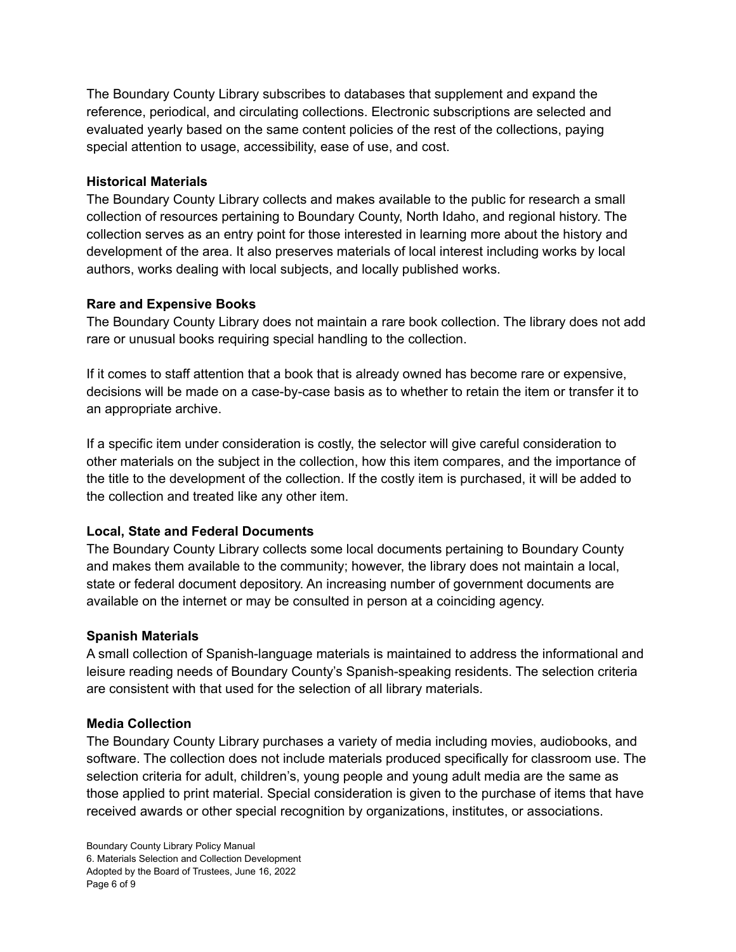The Boundary County Library subscribes to databases that supplement and expand the reference, periodical, and circulating collections. Electronic subscriptions are selected and evaluated yearly based on the same content policies of the rest of the collections, paying special attention to usage, accessibility, ease of use, and cost.

### **Historical Materials**

The Boundary County Library collects and makes available to the public for research a small collection of resources pertaining to Boundary County, North Idaho, and regional history. The collection serves as an entry point for those interested in learning more about the history and development of the area. It also preserves materials of local interest including works by local authors, works dealing with local subjects, and locally published works.

### **Rare and Expensive Books**

The Boundary County Library does not maintain a rare book collection. The library does not add rare or unusual books requiring special handling to the collection.

If it comes to staff attention that a book that is already owned has become rare or expensive, decisions will be made on a case-by-case basis as to whether to retain the item or transfer it to an appropriate archive.

If a specific item under consideration is costly, the selector will give careful consideration to other materials on the subject in the collection, how this item compares, and the importance of the title to the development of the collection. If the costly item is purchased, it will be added to the collection and treated like any other item.

## **Local, State and Federal Documents**

The Boundary County Library collects some local documents pertaining to Boundary County and makes them available to the community; however, the library does not maintain a local, state or federal document depository. An increasing number of government documents are available on the internet or may be consulted in person at a coinciding agency.

## **Spanish Materials**

A small collection of Spanish-language materials is maintained to address the informational and leisure reading needs of Boundary County's Spanish-speaking residents. The selection criteria are consistent with that used for the selection of all library materials.

## **Media Collection**

The Boundary County Library purchases a variety of media including movies, audiobooks, and software. The collection does not include materials produced specifically for classroom use. The selection criteria for adult, children's, young people and young adult media are the same as those applied to print material. Special consideration is given to the purchase of items that have received awards or other special recognition by organizations, institutes, or associations.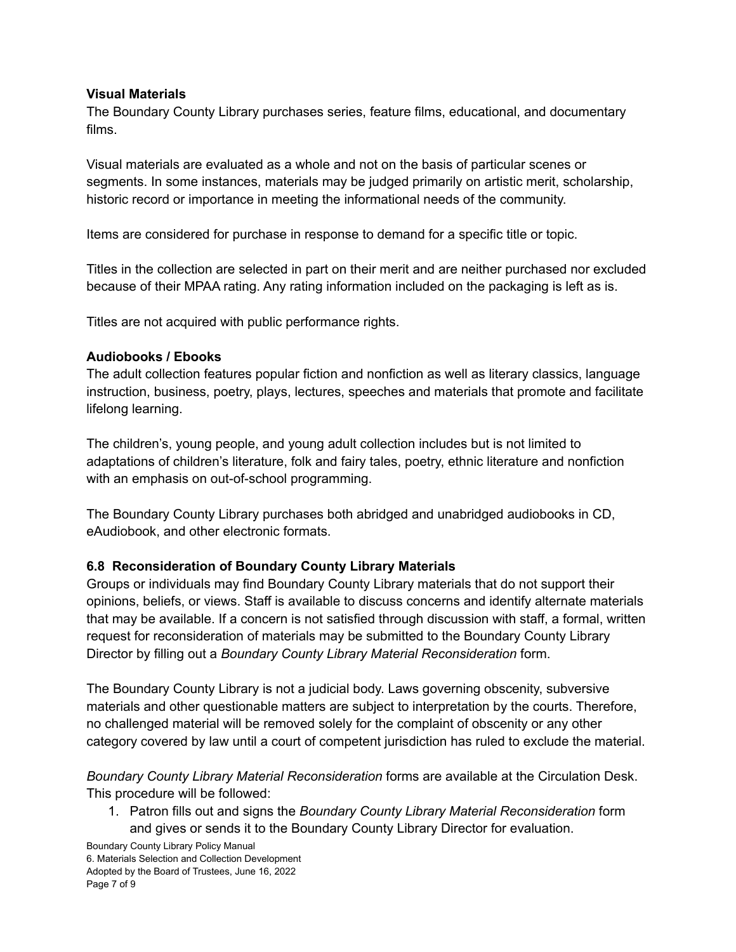### **Visual Materials**

The Boundary County Library purchases series, feature films, educational, and documentary films.

Visual materials are evaluated as a whole and not on the basis of particular scenes or segments. In some instances, materials may be judged primarily on artistic merit, scholarship, historic record or importance in meeting the informational needs of the community.

Items are considered for purchase in response to demand for a specific title or topic.

Titles in the collection are selected in part on their merit and are neither purchased nor excluded because of their MPAA rating. Any rating information included on the packaging is left as is.

Titles are not acquired with public performance rights.

## **Audiobooks / Ebooks**

The adult collection features popular fiction and nonfiction as well as literary classics, language instruction, business, poetry, plays, lectures, speeches and materials that promote and facilitate lifelong learning.

The children's, young people, and young adult collection includes but is not limited to adaptations of children's literature, folk and fairy tales, poetry, ethnic literature and nonfiction with an emphasis on out-of-school programming.

The Boundary County Library purchases both abridged and unabridged audiobooks in CD, eAudiobook, and other electronic formats.

## **6.8 Reconsideration of Boundary County Library Materials**

Groups or individuals may find Boundary County Library materials that do not support their opinions, beliefs, or views. Staff is available to discuss concerns and identify alternate materials that may be available. If a concern is not satisfied through discussion with staff, a formal, written request for reconsideration of materials may be submitted to the Boundary County Library Director by filling out a *Boundary County Library Material Reconsideration* form.

The Boundary County Library is not a judicial body. Laws governing obscenity, subversive materials and other questionable matters are subject to interpretation by the courts. Therefore, no challenged material will be removed solely for the complaint of obscenity or any other category covered by law until a court of competent jurisdiction has ruled to exclude the material.

*Boundary County Library Material Reconsideration* forms are available at the Circulation Desk. This procedure will be followed:

1. Patron fills out and signs the *Boundary County Library Material Reconsideration* form and gives or sends it to the Boundary County Library Director for evaluation.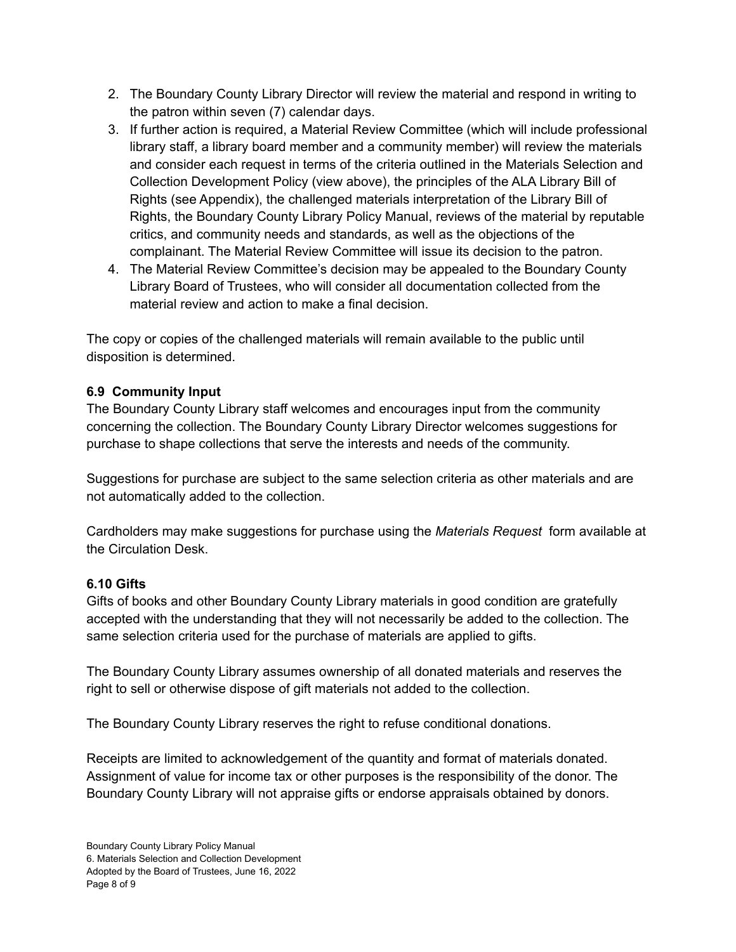- 2. The Boundary County Library Director will review the material and respond in writing to the patron within seven (7) calendar days.
- 3. If further action is required, a Material Review Committee (which will include professional library staff, a library board member and a community member) will review the materials and consider each request in terms of the criteria outlined in the Materials Selection and Collection Development Policy (view above), the principles of the ALA Library Bill of Rights (see Appendix), the challenged materials interpretation of the Library Bill of Rights, the Boundary County Library Policy Manual, reviews of the material by reputable critics, and community needs and standards, as well as the objections of the complainant. The Material Review Committee will issue its decision to the patron.
- 4. The Material Review Committee's decision may be appealed to the Boundary County Library Board of Trustees, who will consider all documentation collected from the material review and action to make a final decision.

The copy or copies of the challenged materials will remain available to the public until disposition is determined.

## **6.9 Community Input**

The Boundary County Library staff welcomes and encourages input from the community concerning the collection. The Boundary County Library Director welcomes suggestions for purchase to shape collections that serve the interests and needs of the community.

Suggestions for purchase are subject to the same selection criteria as other materials and are not automatically added to the collection.

Cardholders may make suggestions for purchase using the *Materials Request* form available at the Circulation Desk.

## **6.10 Gifts**

Gifts of books and other Boundary County Library materials in good condition are gratefully accepted with the understanding that they will not necessarily be added to the collection. The same selection criteria used for the purchase of materials are applied to gifts.

The Boundary County Library assumes ownership of all donated materials and reserves the right to sell or otherwise dispose of gift materials not added to the collection.

The Boundary County Library reserves the right to refuse conditional donations.

Receipts are limited to acknowledgement of the quantity and format of materials donated. Assignment of value for income tax or other purposes is the responsibility of the donor. The Boundary County Library will not appraise gifts or endorse appraisals obtained by donors.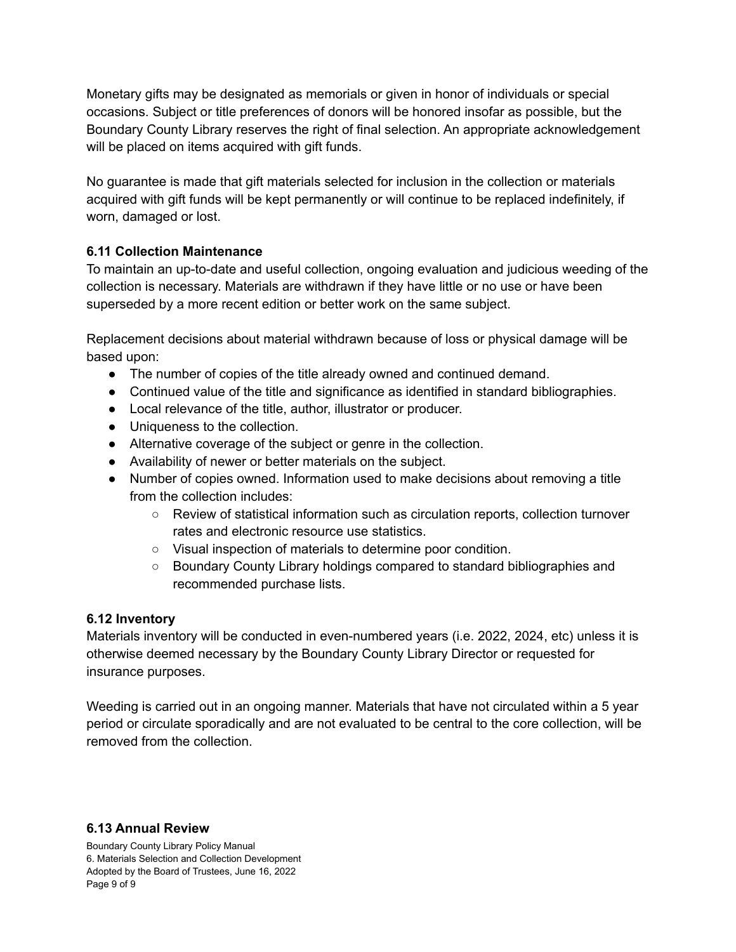Monetary gifts may be designated as memorials or given in honor of individuals or special occasions. Subject or title preferences of donors will be honored insofar as possible, but the Boundary County Library reserves the right of final selection. An appropriate acknowledgement will be placed on items acquired with gift funds.

No guarantee is made that gift materials selected for inclusion in the collection or materials acquired with gift funds will be kept permanently or will continue to be replaced indefinitely, if worn, damaged or lost.

# **6.11 Collection Maintenance**

To maintain an up-to-date and useful collection, ongoing evaluation and judicious weeding of the collection is necessary. Materials are withdrawn if they have little or no use or have been superseded by a more recent edition or better work on the same subject.

Replacement decisions about material withdrawn because of loss or physical damage will be based upon:

- The number of copies of the title already owned and continued demand.
- Continued value of the title and significance as identified in standard bibliographies.
- Local relevance of the title, author, illustrator or producer.
- Uniqueness to the collection.
- Alternative coverage of the subject or genre in the collection.
- Availability of newer or better materials on the subject.
- Number of copies owned. Information used to make decisions about removing a title from the collection includes:
	- Review of statistical information such as circulation reports, collection turnover rates and electronic resource use statistics.
	- Visual inspection of materials to determine poor condition.
	- Boundary County Library holdings compared to standard bibliographies and recommended purchase lists.

## **6.12 Inventory**

Materials inventory will be conducted in even-numbered years (i.e. 2022, 2024, etc) unless it is otherwise deemed necessary by the Boundary County Library Director or requested for insurance purposes.

Weeding is carried out in an ongoing manner. Materials that have not circulated within a 5 year period or circulate sporadically and are not evaluated to be central to the core collection, will be removed from the collection.

### **6.13 Annual Review**

Boundary County Library Policy Manual 6. Materials Selection and Collection Development Adopted by the Board of Trustees, June 16, 2022 Page 9 of 9